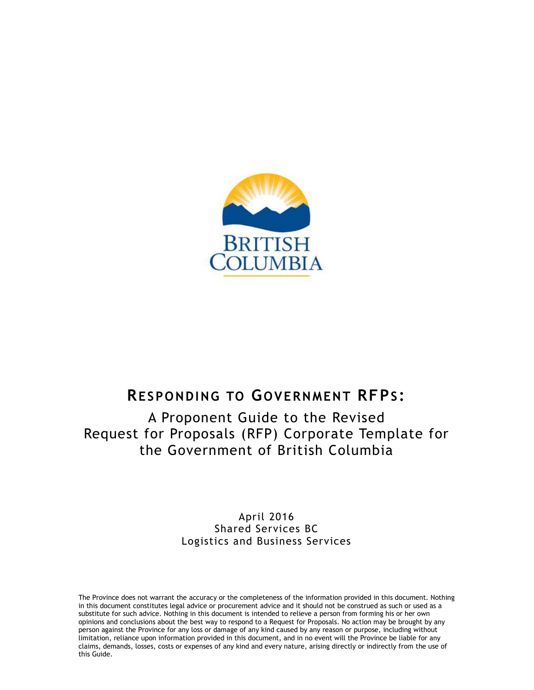

# **RESPONDING TO G OVERNMENT RFPS :**

A Proponent Guide to the Revised Request for Proposals (RFP) Corporate Template for the Government of British Columbia

> April 2016 Shared Services BC Logistics and Business Services

The Province does not warrant the accuracy or the completeness of the information provided in this document. Nothing in this document constitutes legal advice or procurement advice and it should not be construed as such or used as a substitute for such advice. Nothing in this document is intended to relieve a person from forming his or her own opinions and conclusions about the best way to respond to a Request for Proposals. No action may be brought by any person against the Province for any loss or damage of any kind caused by any reason or purpose, including without limitation, reliance upon information provided in this document, and in no event will the Province be liable for any claims, demands, losses, costs or expenses of any kind and every nature, arising directly or indirectly from the use of this Guide.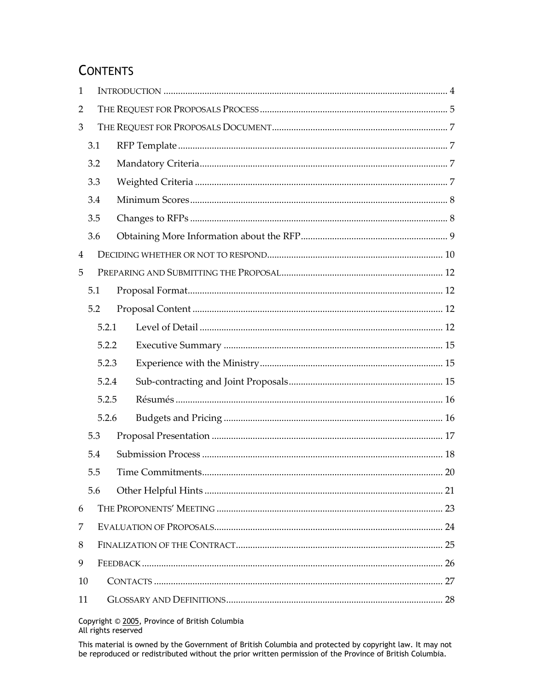# **CONTENTS**

| 1  |     |       |  |    |
|----|-----|-------|--|----|
| 2  |     |       |  |    |
| 3  |     |       |  |    |
|    | 3.1 |       |  |    |
|    | 3.2 |       |  |    |
|    | 3.3 |       |  |    |
|    | 3.4 |       |  |    |
|    | 3.5 |       |  |    |
|    | 3.6 |       |  |    |
| 4  |     |       |  |    |
| 5  |     |       |  |    |
|    | 5.1 |       |  |    |
|    | 5.2 |       |  |    |
|    |     | 5.2.1 |  |    |
|    |     | 5.2.2 |  |    |
|    |     | 5.2.3 |  |    |
|    |     | 5.2.4 |  |    |
|    |     | 5.2.5 |  |    |
|    |     | 5.2.6 |  |    |
|    | 5.3 |       |  |    |
|    | 5.4 |       |  |    |
|    | 5.5 |       |  | 20 |
|    | 5.6 |       |  |    |
| 6  |     |       |  |    |
| 7  |     |       |  |    |
| 8  |     |       |  |    |
| 9  |     |       |  |    |
| 10 |     |       |  |    |
| 11 |     |       |  |    |

Copyright © 2005, Province of British Columbia<br>All rights reserved

This material is owned by the Government of British Columbia and protected by copyright law. It may not be reproduced or redistributed without the prior written permission of the Province of British Columbia.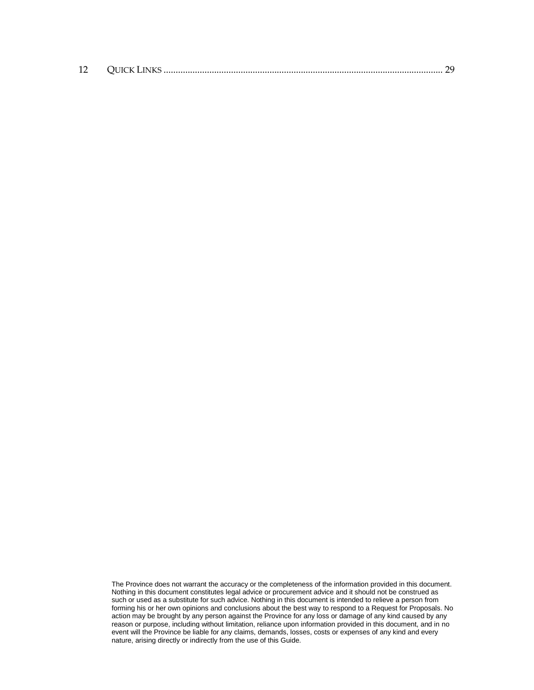| 12 |  |  |  |
|----|--|--|--|
|----|--|--|--|

The Province does not warrant the accuracy or the completeness of the information provided in this document. Nothing in this document constitutes legal advice or procurement advice and it should not be construed as such or used as a substitute for such advice. Nothing in this document is intended to relieve a person from forming his or her own opinions and conclusions about the best way to respond to a Request for Proposals. No action may be brought by any person against the Province for any loss or damage of any kind caused by any reason or purpose, including without limitation, reliance upon information provided in this document, and in no event will the Province be liable for any claims, demands, losses, costs or expenses of any kind and every nature, arising directly or indirectly from the use of this Guide.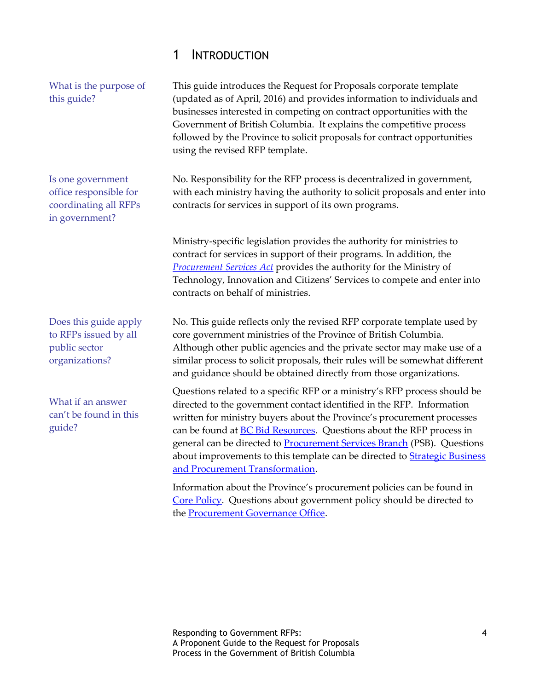### <span id="page-3-0"></span>1 INTRODUCTION

What is the purpose of this guide?

Is one government office responsible for coordinating all RFPs in government?

Does this guide apply to RFPs issued by all public sector organizations?

What if an answer can't be found in this guide?

This guide introduces the Request for Proposals corporate template (updated as of April, 2016) and provides information to individuals and businesses interested in competing on contract opportunities with the Government of British Columbia. It explains the competitive process followed by the Province to solicit proposals for contract opportunities using the revised RFP template.

No. Responsibility for the RFP process is decentralized in government, with each ministry having the authority to solicit proposals and enter into contracts for services in support of its own programs.

Ministry-specific legislation provides the authority for ministries to contract for services in support of their programs. In addition, the *[Procurement Services Act](http://www.qp.gov.bc.ca/statreg/stat/P/03022_01.htm)* provides the authority for the Ministry of Technology, Innovation and Citizens' Services to compete and enter into contracts on behalf of ministries.

No. This guide reflects only the revised RFP corporate template used by core government ministries of the Province of British Columbia. Although other public agencies and the private sector may make use of a similar process to solicit proposals, their rules will be somewhat different and guidance should be obtained directly from those organizations.

Questions related to a specific RFP or a ministry's RFP process should be directed to the government contact identified in the RFP. Information written for ministry buyers about the Province's procurement processes can be found at **BC Bid Resources**. Questions about the RFP process in general can be directed to **Procurement Services Branch** (PSB). Questions about improvements to this template can be directed to **Strategic Business** [and Procurement Transformation.](mailto:procurement.transformation@gov.bc.ca)

Information about the Province's procurement policies can be found in [Core Policy.](http://www2.gov.bc.ca/gov/content/governments/services-for-government/bc-bid-resources/reference-resources/corporate-requirements-and-guidelines/core-policy) Questions about government policy should be directed to the [Procurement Governance Office.](http://www.fin.gov.bc.ca/ocg/pgo/pgo.htm)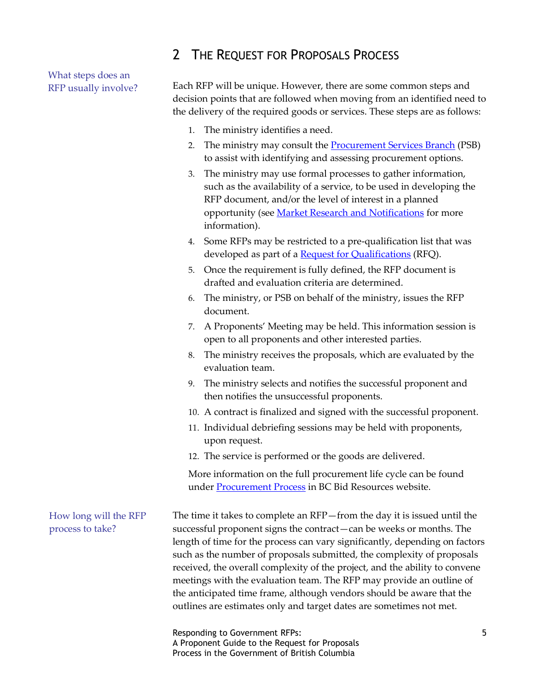### <span id="page-4-0"></span>2 THE REQUEST FOR PROPOSALS PROCESS

What steps does an RFP usually involve?

Each RFP will be unique. However, there are some common steps and decision points that are followed when moving from an identified need to the delivery of the required goods or services. These steps are as follows:

- 1. The ministry identifies a need.
- 2. The ministry may consult the **Procurement [Services Branch](http://www2.gov.bc.ca/gov/content/governments/services-for-government/bc-bid-resources/support-services/procurement-services)** (PSB) to assist with identifying and assessing procurement options.
- 3. The ministry may use formal processes to gather information, such as the availability of a service, to be used in developing the RFP document, and/or the level of interest in a planned opportunity (see [Market Research and Notifications](http://www2.gov.bc.ca/gov/content/governments/services-for-government/bc-bid-resources/how-to-buy-services/procurement-process/pre-award/market-research-and-notifications) for more information).
- 4. Some RFPs may be restricted to a pre-qualification list that was developed as part of a [Request for Qualifications](http://www2.gov.bc.ca/gov/content/governments/services-for-government/bc-bid-resources/how-to-buy-services/procurement-process/pre-award/prepare-solicitation-documents/request-for-qualifications) (RFQ).
- 5. Once the requirement is fully defined, the RFP document is drafted and evaluation criteria are determined.
- 6. The ministry, or PSB on behalf of the ministry, issues the RFP document.
- 7. A Proponents' Meeting may be held. This information session is open to all proponents and other interested parties.
- 8. The ministry receives the proposals, which are evaluated by the evaluation team.
- 9. The ministry selects and notifies the successful proponent and then notifies the unsuccessful proponents.
- 10. A contract is finalized and signed with the successful proponent.
- 11. Individual debriefing sessions may be held with proponents, upon request.
- 12. The service is performed or the goods are delivered.

More information on the full procurement life cycle can be found under [Procurement Process](http://www2.gov.bc.ca/gov/content/governments/services-for-government/bc-bid-resources/how-to-buy-services/procurement-process) in BC Bid Resources website.

The time it takes to complete an RFP—from the day it is issued until the successful proponent signs the contract—can be weeks or months. The length of time for the process can vary significantly, depending on factors such as the number of proposals submitted, the complexity of proposals received, the overall complexity of the project, and the ability to convene meetings with the evaluation team. The RFP may provide an outline of the anticipated time frame, although vendors should be aware that the outlines are estimates only and target dates are sometimes not met. How long will the RFP process to take?

> Responding to Government RFPs: 5 A Proponent Guide to the Request for Proposals Process in the Government of British Columbia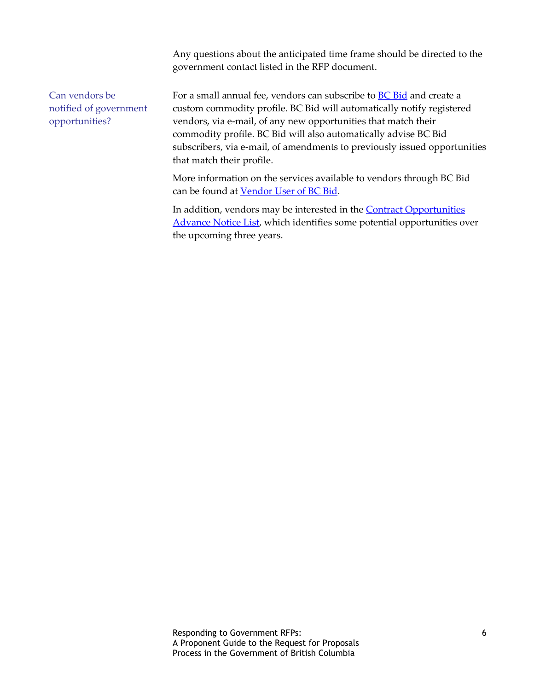Any questions about the anticipated time frame should be directed to the government contact listed in the RFP document.

Can vendors be notified of government opportunities?

For a small annual fee, vendors can subscribe to **BC Bid** and create a custom commodity profile. BC Bid will automatically notify registered vendors, via e-mail, of any new opportunities that match their commodity profile. BC Bid will also automatically advise BC Bid subscribers, via e-mail, of amendments to previously issued opportunities that match their profile.

More information on the services available to vendors through BC Bid can be found at [Vendor User of BC Bid.](http://www2.gov.bc.ca/gov/content/governments/services-for-government/bc-bid-resources/bc-bid/vendor-user-of-bc-bid)

In addition, vendors may be interested in the **Contract Opportunities** [Advance Notice List,](http://www2.gov.bc.ca/gov/content/governments/services-for-government/bc-bid-resources/bc-bid/contract-opportunities) which identifies some potential opportunities over the upcoming three years.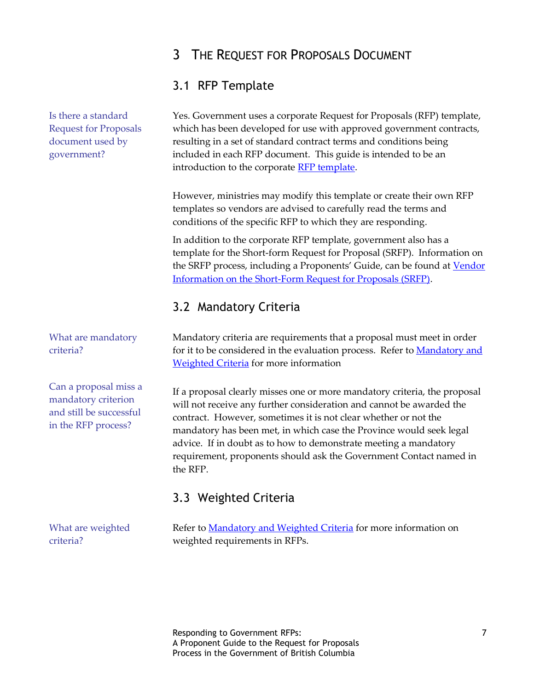# <span id="page-6-0"></span>3 THE REQUEST FOR PROPOSALS DOCUMENT

### <span id="page-6-1"></span>3.1 RFP Template

Yes. Government uses a corporate Request for Proposals (RFP) template, which has been developed for use with approved government contracts, resulting in a set of standard contract terms and conditions being included in each RFP document. This guide is intended to be an introduction to the corporate [RFP template.](http://www2.gov.bc.ca/assets/download/AB78ACB0A8CC44BCA26DCA52F5D435A4)

However, ministries may modify this template or create their own RFP templates so vendors are advised to carefully read the terms and conditions of the specific RFP to which they are responding.

In addition to the corporate RFP template, government also has a template for the Short-form Request for Proposal (SRFP). Information on the SRFP process, including a Proponents' Guide, can be found at **Vendor** [Information on the Short-Form Request for Proposals \(SRFP\).](http://www2.gov.bc.ca/gov/content/governments/services-for-government/bc-bid-resources/templates-and-tools/solicitation-templates/short-form-request-for-proposal/vendor-srfp-info)

# <span id="page-6-2"></span>3.2 Mandatory Criteria

Mandatory criteria are requirements that a proposal must meet in order for it to be considered in the evaluation process. Refer to **Mandatory and [Weighted Criteria](http://www2.gov.bc.ca/gov/content/governments/services-for-government/bc-bid-resources/how-to-buy-services/procurement-process/pre-award/prepare-solicitation-documents/mandatory-and-weighted-criteria)** for more information

If a proposal clearly misses one or more mandatory criteria, the proposal will not receive any further consideration and cannot be awarded the contract. However, sometimes it is not clear whether or not the mandatory has been met, in which case the Province would seek legal advice. If in doubt as to how to demonstrate meeting a mandatory requirement, proponents should ask the Government Contact named in the RFP.

# <span id="page-6-3"></span>3.3 Weighted Criteria

What are weighted criteria?

Refer to [Mandatory and Weighted Criteria](http://www2.gov.bc.ca/gov/content/governments/services-for-government/bc-bid-resources/how-to-buy-services/procurement-process/pre-award/prepare-solicitation-documents/mandatory-and-weighted-criteria) for more information on weighted requirements in RFPs.

Is there a standard Request for Proposals document used by government?

What are mandatory criteria?

Can a proposal miss a mandatory criterion and still be successful in the RFP process?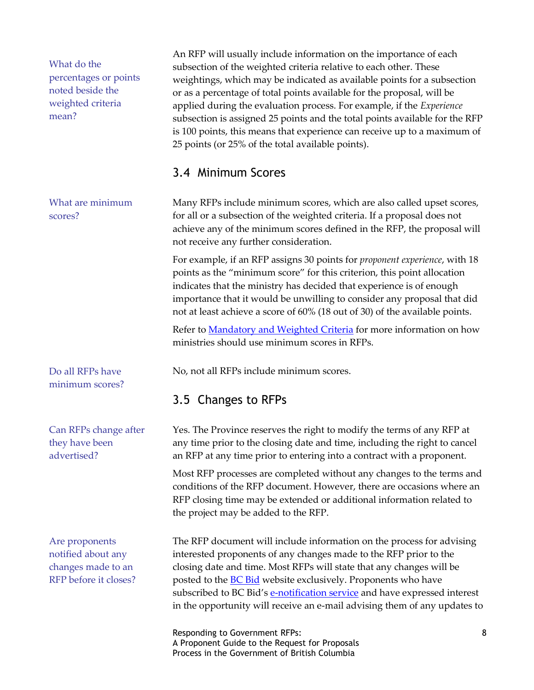What do the percentages or points noted beside the weighted criteria mean?

What are minimum scores?

Do all RFPs have minimum scores?

Can RFPs change after they have been advertised?

Are proponents notified about any changes made to an RFP before it closes? An RFP will usually include information on the importance of each subsection of the weighted criteria relative to each other. These weightings, which may be indicated as available points for a subsection or as a percentage of total points available for the proposal, will be applied during the evaluation process. For example, if the *Experience* subsection is assigned 25 points and the total points available for the RFP is 100 points, this means that experience can receive up to a maximum of 25 points (or 25% of the total available points).

### <span id="page-7-0"></span>3.4 Minimum Scores

Many RFPs include minimum scores, which are also called upset scores, for all or a subsection of the weighted criteria. If a proposal does not achieve any of the minimum scores defined in the RFP, the proposal will not receive any further consideration.

For example, if an RFP assigns 30 points for *proponent experience*, with 18 points as the "minimum score" for this criterion, this point allocation indicates that the ministry has decided that experience is of enough importance that it would be unwilling to consider any proposal that did not at least achieve a score of 60% (18 out of 30) of the available points.

Refer to [Mandatory and Weighted Criteria](http://www2.gov.bc.ca/gov/content/governments/services-for-government/bc-bid-resources/how-to-buy-services/procurement-process/pre-award/prepare-solicitation-documents/mandatory-and-weighted-criteria) for more information on how ministries should use minimum scores in RFPs.

No, not all RFPs include minimum scores.

### <span id="page-7-1"></span>3.5 Changes to RFPs

Yes. The Province reserves the right to modify the terms of any RFP at any time prior to the closing date and time, including the right to cancel an RFP at any time prior to entering into a contract with a proponent.

Most RFP processes are completed without any changes to the terms and conditions of the RFP document. However, there are occasions where an RFP closing time may be extended or additional information related to the project may be added to the RFP.

The RFP document will include information on the process for advising interested proponents of any changes made to the RFP prior to the closing date and time. Most RFPs will state that any changes will be posted to the **BC** Bid website exclusively. Proponents who have subscribed to BC Bid's [e-notification service](http://www2.gov.bc.ca/gov/content/governments/services-for-government/bc-bid-resources/bc-bid/vendor-user-of-bc-bid/email-service-registration) and have expressed interest in the opportunity will receive an e-mail advising them of any updates to

Responding to Government RFPs: 8 A Proponent Guide to the Request for Proposals Process in the Government of British Columbia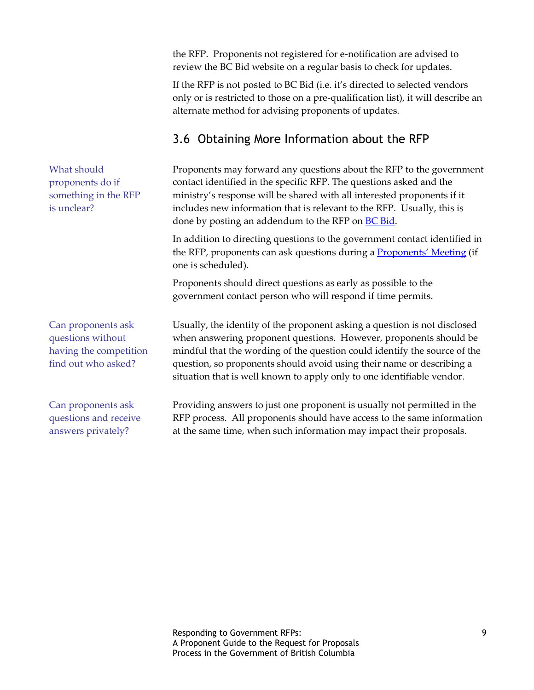the RFP. Proponents not registered for e-notification are advised to review the BC Bid website on a regular basis to check for updates.

If the RFP is not posted to BC Bid (i.e. it's directed to selected vendors only or is restricted to those on a pre-qualification list), it will describe an alternate method for advising proponents of updates.

# <span id="page-8-0"></span>3.6 Obtaining More Information about the RFP

Proponents may forward any questions about the RFP to the government contact identified in the specific RFP. The questions asked and the ministry's response will be shared with all interested proponents if it includes new information that is relevant to the RFP. Usually, this is done by posting an addendum to the RFP on **BC Bid.** 

In addition to directing questions to the government contact identified in the RFP, proponents can ask questions during a **[Proponents' Meeting](#page-22-0)** (if one is scheduled).

Proponents should direct questions as early as possible to the government contact person who will respond if time permits.

Usually, the identity of the proponent asking a question is not disclosed when answering proponent questions. However, proponents should be mindful that the wording of the question could identify the source of the question, so proponents should avoid using their name or describing a situation that is well known to apply only to one identifiable vendor.

Providing answers to just one proponent is usually not permitted in the RFP process. All proponents should have access to the same information at the same time, when such information may impact their proposals.

What should proponents do if something in the RFP is unclear?

Can proponents ask questions without having the competition find out who asked?

Can proponents ask questions and receive answers privately?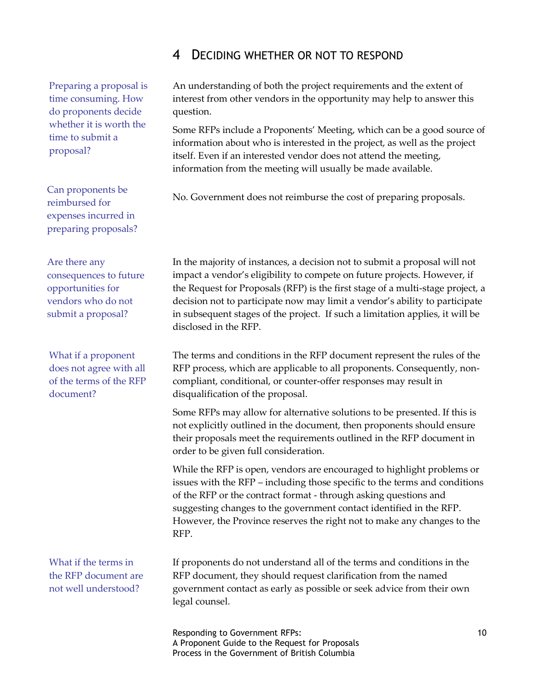### <span id="page-9-0"></span>4 DECIDING WHETHER OR NOT TO RESPOND

Preparing a proposal is time consuming. How do proponents decide whether it is worth the time to submit a proposal?

Can proponents be reimbursed for expenses incurred in preparing proposals?

Are there any consequences to future opportunities for vendors who do not submit a proposal?

What if a proponent does not agree with all of the terms of the RFP document?

What if the terms in the RFP document are not well understood?

An understanding of both the project requirements and the extent of interest from other vendors in the opportunity may help to answer this question.

Some RFPs include a Proponents' Meeting, which can be a good source of information about who is interested in the project, as well as the project itself. Even if an interested vendor does not attend the meeting, information from the meeting will usually be made available.

No. Government does not reimburse the cost of preparing proposals.

In the majority of instances, a decision not to submit a proposal will not impact a vendor's eligibility to compete on future projects. However, if the Request for Proposals (RFP) is the first stage of a multi-stage project, a decision not to participate now may limit a vendor's ability to participate in subsequent stages of the project. If such a limitation applies, it will be disclosed in the RFP.

The terms and conditions in the RFP document represent the rules of the RFP process, which are applicable to all proponents. Consequently, noncompliant, conditional, or counter-offer responses may result in disqualification of the proposal.

Some RFPs may allow for alternative solutions to be presented. If this is not explicitly outlined in the document, then proponents should ensure their proposals meet the requirements outlined in the RFP document in order to be given full consideration.

While the RFP is open, vendors are encouraged to highlight problems or issues with the RFP – including those specific to the terms and conditions of the RFP or the contract format - through asking questions and suggesting changes to the government contact identified in the RFP. However, the Province reserves the right not to make any changes to the RFP.

If proponents do not understand all of the terms and conditions in the RFP document, they should request clarification from the named government contact as early as possible or seek advice from their own legal counsel.

Responding to Government RFPs: 10 A Proponent Guide to the Request for Proposals Process in the Government of British Columbia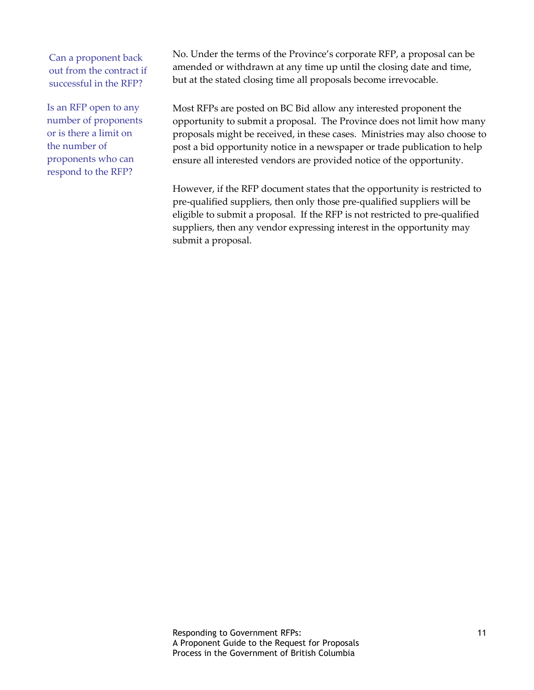Can a proponent back out from the contract if successful in the RFP?

Is an RFP open to any number of proponents or is there a limit on the number of proponents who can respond to the RFP?

No. Under the terms of the Province's corporate RFP, a proposal can be amended or withdrawn at any time up until the closing date and time, but at the stated closing time all proposals become irrevocable.

Most RFPs are posted on BC Bid allow any interested proponent the opportunity to submit a proposal. The Province does not limit how many proposals might be received, in these cases. Ministries may also choose to post a bid opportunity notice in a newspaper or trade publication to help ensure all interested vendors are provided notice of the opportunity.

However, if the RFP document states that the opportunity is restricted to pre-qualified suppliers, then only those pre-qualified suppliers will be eligible to submit a proposal. If the RFP is not restricted to pre-qualified suppliers, then any vendor expressing interest in the opportunity may submit a proposal.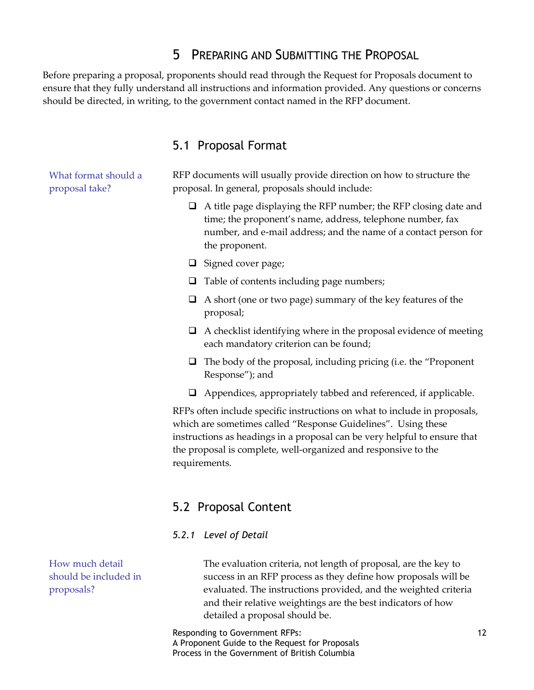### <span id="page-11-0"></span>5 PREPARING AND SUBMITTING THE PROPOSAL

Before preparing a proposal, proponents should read through the Request for Proposals document to ensure that they fully understand all instructions and information provided. Any questions or concerns should be directed, in writing, to the government contact named in the RFP document.

### <span id="page-11-1"></span>5.1 Proposal Format

What format should a proposal take?

RFP documents will usually provide direction on how to structure the proposal. In general, proposals should include:

- $\Box$  A title page displaying the RFP number; the RFP closing date and time; the proponent's name, address, telephone number, fax number, and e-mail address; and the name of a contact person for the proponent.
- $\Box$  Signed cover page;
- $\Box$  Table of contents including page numbers;
- $\Box$  A short (one or two page) summary of the key features of the proposal;
- $\Box$  A checklist identifying where in the proposal evidence of meeting each mandatory criterion can be found;
- $\Box$  The body of the proposal, including pricing (i.e. the "Proponent" Response"); and
- $\Box$  Appendices, appropriately tabbed and referenced, if applicable.

RFPs often include specific instructions on what to include in proposals, which are sometimes called "Response Guidelines". Using these instructions as headings in a proposal can be very helpful to ensure that the proposal is complete, well-organized and responsive to the requirements.

### <span id="page-11-2"></span>5.2 Proposal Content

#### <span id="page-11-3"></span>*5.2.1 Level of Detail*

How much detail should be included in proposals?

The evaluation criteria, not length of proposal, are the key to success in an RFP process as they define how proposals will be evaluated. The instructions provided, and the weighted criteria and their relative weightings are the best indicators of how detailed a proposal should be.

Responding to Government RFPs: 12 A Proponent Guide to the Request for Proposals Process in the Government of British Columbia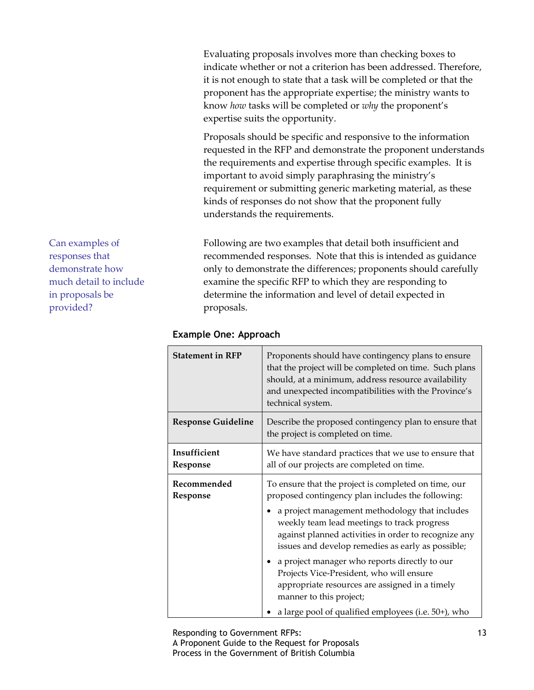Evaluating proposals involves more than checking boxes to indicate whether or not a criterion has been addressed. Therefore, it is not enough to state that a task will be completed or that the proponent has the appropriate expertise; the ministry wants to know *how* tasks will be completed or *why* the proponent's expertise suits the opportunity.

Proposals should be specific and responsive to the information requested in the RFP and demonstrate the proponent understands the requirements and expertise through specific examples. It is important to avoid simply paraphrasing the ministry's requirement or submitting generic marketing material, as these kinds of responses do not show that the proponent fully understands the requirements.

Following are two examples that detail both insufficient and recommended responses. Note that this is intended as guidance only to demonstrate the differences; proponents should carefully examine the specific RFP to which they are responding to determine the information and level of detail expected in proposals.

| <b>Statement in RFP</b>   | Proponents should have contingency plans to ensure<br>that the project will be completed on time. Such plans<br>should, at a minimum, address resource availability<br>and unexpected incompatibilities with the Province's<br>technical system.                                                                                                                                                                                                                                                                                                         |
|---------------------------|----------------------------------------------------------------------------------------------------------------------------------------------------------------------------------------------------------------------------------------------------------------------------------------------------------------------------------------------------------------------------------------------------------------------------------------------------------------------------------------------------------------------------------------------------------|
| <b>Response Guideline</b> | Describe the proposed contingency plan to ensure that<br>the project is completed on time.                                                                                                                                                                                                                                                                                                                                                                                                                                                               |
| Insufficient<br>Response  | We have standard practices that we use to ensure that<br>all of our projects are completed on time.                                                                                                                                                                                                                                                                                                                                                                                                                                                      |
| Recommended<br>Response   | To ensure that the project is completed on time, our<br>proposed contingency plan includes the following:<br>a project management methodology that includes<br>weekly team lead meetings to track progress<br>against planned activities in order to recognize any<br>issues and develop remedies as early as possible;<br>a project manager who reports directly to our<br>Projects Vice-President, who will ensure<br>appropriate resources are assigned in a timely<br>manner to this project;<br>a large pool of qualified employees (i.e. 50+), who |

#### **Example One: Approach**

Responding to Government RFPs: 13 A Proponent Guide to the Request for Proposals Process in the Government of British Columbia

Can examples of responses that demonstrate how much detail to include in proposals be provided?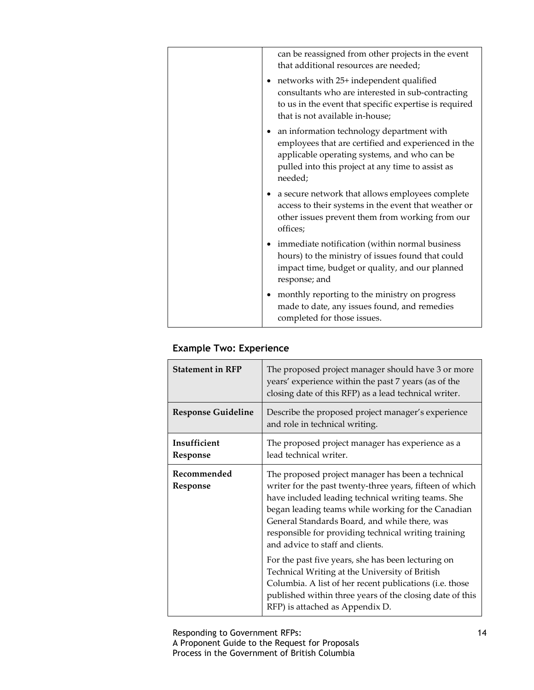|  | can be reassigned from other projects in the event<br>that additional resources are needed;                                                                                                                      |
|--|------------------------------------------------------------------------------------------------------------------------------------------------------------------------------------------------------------------|
|  | networks with 25+ independent qualified<br>consultants who are interested in sub-contracting<br>to us in the event that specific expertise is required<br>that is not available in-house;                        |
|  | an information technology department with<br>employees that are certified and experienced in the<br>applicable operating systems, and who can be<br>pulled into this project at any time to assist as<br>needed; |
|  | a secure network that allows employees complete<br>access to their systems in the event that weather or<br>other issues prevent them from working from our<br>offices;                                           |
|  | immediate notification (within normal business<br>hours) to the ministry of issues found that could<br>impact time, budget or quality, and our planned<br>response; and                                          |
|  | monthly reporting to the ministry on progress<br>made to date, any issues found, and remedies<br>completed for those issues.                                                                                     |

### **Example Two: Experience**

| <b>Statement in RFP</b>   | The proposed project manager should have 3 or more<br>years' experience within the past 7 years (as of the<br>closing date of this RFP) as a lead technical writer.                                                                                                                                                                                                                                                                                                                                                                                                                                                                      |
|---------------------------|------------------------------------------------------------------------------------------------------------------------------------------------------------------------------------------------------------------------------------------------------------------------------------------------------------------------------------------------------------------------------------------------------------------------------------------------------------------------------------------------------------------------------------------------------------------------------------------------------------------------------------------|
| <b>Response Guideline</b> | Describe the proposed project manager's experience<br>and role in technical writing.                                                                                                                                                                                                                                                                                                                                                                                                                                                                                                                                                     |
| Insufficient<br>Response  | The proposed project manager has experience as a<br>lead technical writer.                                                                                                                                                                                                                                                                                                                                                                                                                                                                                                                                                               |
| Recommended<br>Response   | The proposed project manager has been a technical<br>writer for the past twenty-three years, fifteen of which<br>have included leading technical writing teams. She<br>began leading teams while working for the Canadian<br>General Standards Board, and while there, was<br>responsible for providing technical writing training<br>and advice to staff and clients.<br>For the past five years, she has been lecturing on<br>Technical Writing at the University of British<br>Columbia. A list of her recent publications (i.e. those<br>published within three years of the closing date of this<br>RFP) is attached as Appendix D. |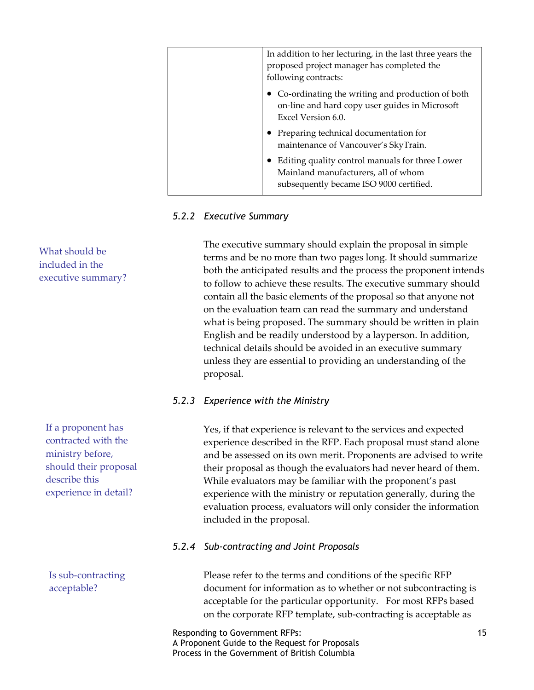| In addition to her lecturing, in the last three years the<br>proposed project manager has completed the<br>following contracts:   |
|-----------------------------------------------------------------------------------------------------------------------------------|
| Co-ordinating the writing and production of both<br>on-line and hard copy user guides in Microsoft<br>Excel Version 6.0.          |
| • Preparing technical documentation for<br>maintenance of Vancouver's SkyTrain.                                                   |
| Editing quality control manuals for three Lower<br>Mainland manufacturers, all of whom<br>subsequently became ISO 9000 certified. |

#### <span id="page-14-0"></span>*5.2.2 Executive Summary*

The executive summary should explain the proposal in simple terms and be no more than two pages long. It should summarize both the anticipated results and the process the proponent intends to follow to achieve these results. The executive summary should contain all the basic elements of the proposal so that anyone not on the evaluation team can read the summary and understand what is being proposed. The summary should be written in plain English and be readily understood by a layperson. In addition, technical details should be avoided in an executive summary unless they are essential to providing an understanding of the proposal.

#### <span id="page-14-1"></span>*5.2.3 Experience with the Ministry*

Yes, if that experience is relevant to the services and expected experience described in the RFP. Each proposal must stand alone and be assessed on its own merit. Proponents are advised to write their proposal as though the evaluators had never heard of them. While evaluators may be familiar with the proponent's past experience with the ministry or reputation generally, during the evaluation process, evaluators will only consider the information included in the proposal.

#### <span id="page-14-2"></span>*5.2.4 Sub-contracting and Joint Proposals*

Please refer to the terms and conditions of the specific RFP document for information as to whether or not subcontracting is acceptable for the particular opportunity. For most RFPs based on the corporate RFP template, sub-contracting is acceptable as

Responding to Government RFPs: 15 A Proponent Guide to the Request for Proposals Process in the Government of British Columbia

What should be included in the executive summary?

If a proponent has contracted with the ministry before, should their proposal describe this experience in detail?

Is sub-contracting acceptable?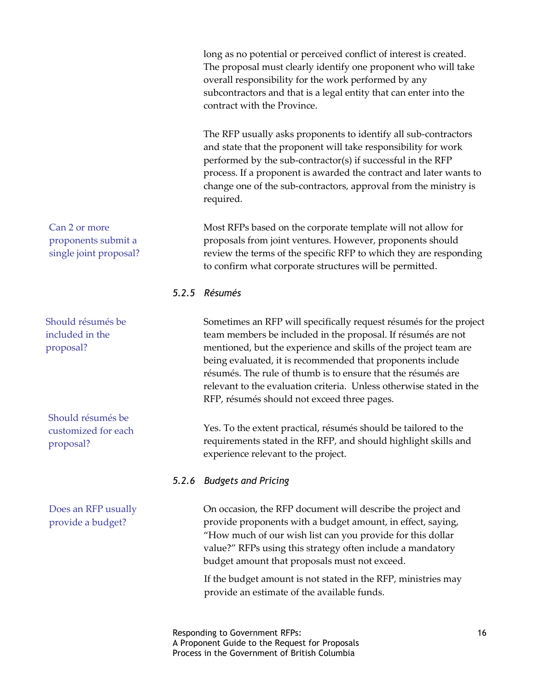long as no potential or perceived conflict of interest is created. The proposal must clearly identify one proponent who will take overall responsibility for the work performed by any subcontractors and that is a legal entity that can enter into the contract with the Province.

The RFP usually asks proponents to identify all sub-contractors and state that the proponent will take responsibility for work performed by the sub-contractor(s) if successful in the RFP process. If a proponent is awarded the contract and later wants to change one of the sub-contractors, approval from the ministry is required.

Most RFPs based on the corporate template will not allow for proposals from joint ventures. However, proponents should review the terms of the specific RFP to which they are responding to confirm what corporate structures will be permitted.

#### <span id="page-15-0"></span>*5.2.5 Résumés*

Sometimes an RFP will specifically request résumés for the project team members be included in the proposal. If résumés are not mentioned, but the experience and skills of the project team are being evaluated, it is recommended that proponents include résumés. The rule of thumb is to ensure that the résumés are relevant to the evaluation criteria. Unless otherwise stated in the RFP, résumés should not exceed three pages.

Yes. To the extent practical, résumés should be tailored to the requirements stated in the RFP, and should highlight skills and experience relevant to the project.

#### <span id="page-15-1"></span>*5.2.6 Budgets and Pricing*

On occasion, the RFP document will describe the project and provide proponents with a budget amount, in effect, saying, "How much of our wish list can you provide for this dollar value?" RFPs using this strategy often include a mandatory budget amount that proposals must not exceed.

If the budget amount is not stated in the RFP, ministries may provide an estimate of the available funds.

Should résumés be included in the proposal?

Can 2 or more

proponents submit a single joint proposal?

Should résumés be customized for each proposal?

Does an RFP usually provide a budget?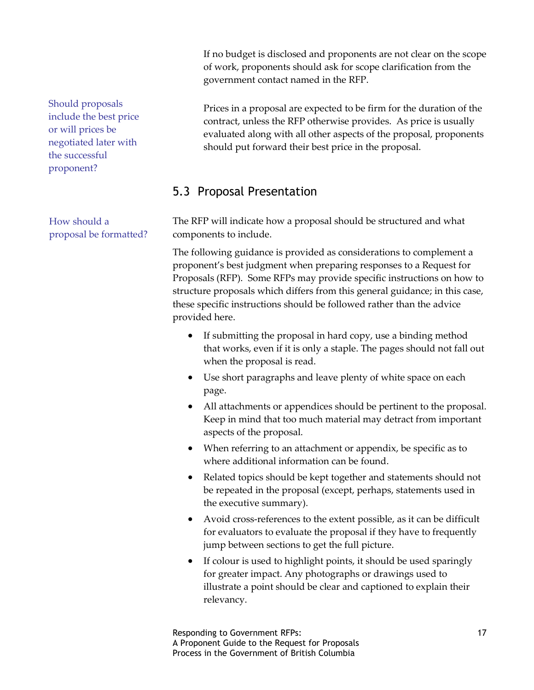If no budget is disclosed and proponents are not clear on the scope of work, proponents should ask for scope clarification from the government contact named in the RFP.

Prices in a proposal are expected to be firm for the duration of the contract, unless the RFP otherwise provides. As price is usually evaluated along with all other aspects of the proposal, proponents should put forward their best price in the proposal.

### <span id="page-16-0"></span>5.3 Proposal Presentation

The RFP will indicate how a proposal should be structured and what components to include.

The following guidance is provided as considerations to complement a proponent's best judgment when preparing responses to a Request for Proposals (RFP). Some RFPs may provide specific instructions on how to structure proposals which differs from this general guidance; in this case, these specific instructions should be followed rather than the advice provided here.

- If submitting the proposal in hard copy, use a binding method that works, even if it is only a staple. The pages should not fall out when the proposal is read.
- Use short paragraphs and leave plenty of white space on each page.
- All attachments or appendices should be pertinent to the proposal. Keep in mind that too much material may detract from important aspects of the proposal.
- When referring to an attachment or appendix, be specific as to where additional information can be found.
- Related topics should be kept together and statements should not be repeated in the proposal (except, perhaps, statements used in the executive summary).
- Avoid cross-references to the extent possible, as it can be difficult for evaluators to evaluate the proposal if they have to frequently jump between sections to get the full picture.
- If colour is used to highlight points, it should be used sparingly for greater impact. Any photographs or drawings used to illustrate a point should be clear and captioned to explain their relevancy.

Should proposals include the best price or will prices be negotiated later with the successful proponent?

How should a proposal be formatted?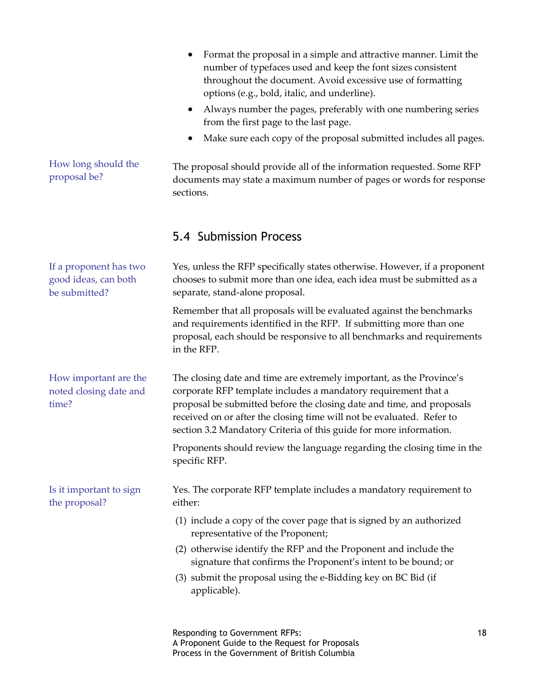<span id="page-17-0"></span>

|                                                                 | Format the proposal in a simple and attractive manner. Limit the<br>number of typefaces used and keep the font sizes consistent<br>throughout the document. Avoid excessive use of formatting<br>options (e.g., bold, italic, and underline).<br>Always number the pages, preferably with one numbering series<br>$\bullet$<br>from the first page to the last page.<br>Make sure each copy of the proposal submitted includes all pages. |    |
|-----------------------------------------------------------------|-------------------------------------------------------------------------------------------------------------------------------------------------------------------------------------------------------------------------------------------------------------------------------------------------------------------------------------------------------------------------------------------------------------------------------------------|----|
| How long should the<br>proposal be?                             | The proposal should provide all of the information requested. Some RFP<br>documents may state a maximum number of pages or words for response<br>sections.                                                                                                                                                                                                                                                                                |    |
|                                                                 | 5.4 Submission Process                                                                                                                                                                                                                                                                                                                                                                                                                    |    |
| If a proponent has two<br>good ideas, can both<br>be submitted? | Yes, unless the RFP specifically states otherwise. However, if a proponent<br>chooses to submit more than one idea, each idea must be submitted as a<br>separate, stand-alone proposal.                                                                                                                                                                                                                                                   |    |
|                                                                 | Remember that all proposals will be evaluated against the benchmarks<br>and requirements identified in the RFP. If submitting more than one<br>proposal, each should be responsive to all benchmarks and requirements<br>in the RFP.                                                                                                                                                                                                      |    |
| How important are the<br>noted closing date and<br>time?        | The closing date and time are extremely important, as the Province's<br>corporate RFP template includes a mandatory requirement that a<br>proposal be submitted before the closing date and time, and proposals<br>received on or after the closing time will not be evaluated. Refer to<br>section 3.2 Mandatory Criteria of this guide for more information.                                                                            |    |
|                                                                 | Proponents should review the language regarding the closing time in the<br>specific RFP.                                                                                                                                                                                                                                                                                                                                                  |    |
| Is it important to sign<br>the proposal?                        | Yes. The corporate RFP template includes a mandatory requirement to<br>either:                                                                                                                                                                                                                                                                                                                                                            |    |
|                                                                 | (1) include a copy of the cover page that is signed by an authorized<br>representative of the Proponent;                                                                                                                                                                                                                                                                                                                                  |    |
|                                                                 | (2) otherwise identify the RFP and the Proponent and include the<br>signature that confirms the Proponent's intent to be bound; or                                                                                                                                                                                                                                                                                                        |    |
|                                                                 | (3) submit the proposal using the e-Bidding key on BC Bid (if<br>applicable).                                                                                                                                                                                                                                                                                                                                                             |    |
|                                                                 | Responding to Government RFPs:<br>A Proponent Guide to the Request for Proposals<br>Process in the Government of British Columbia                                                                                                                                                                                                                                                                                                         | 18 |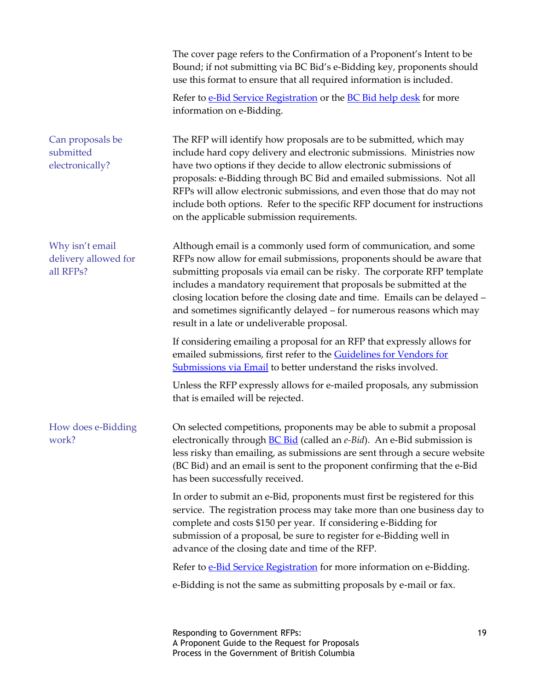|                                                      | The cover page refers to the Confirmation of a Proponent's Intent to be<br>Bound; if not submitting via BC Bid's e-Bidding key, proponents should<br>use this format to ensure that all required information is included.                                                                                                                                                                                                                                                                         |    |
|------------------------------------------------------|---------------------------------------------------------------------------------------------------------------------------------------------------------------------------------------------------------------------------------------------------------------------------------------------------------------------------------------------------------------------------------------------------------------------------------------------------------------------------------------------------|----|
|                                                      | Refer to e-Bid Service Registration or the BC Bid help desk for more<br>information on e-Bidding.                                                                                                                                                                                                                                                                                                                                                                                                 |    |
| Can proposals be<br>submitted<br>electronically?     | The RFP will identify how proposals are to be submitted, which may<br>include hard copy delivery and electronic submissions. Ministries now<br>have two options if they decide to allow electronic submissions of<br>proposals: e-Bidding through BC Bid and emailed submissions. Not all<br>RFPs will allow electronic submissions, and even those that do may not<br>include both options. Refer to the specific RFP document for instructions<br>on the applicable submission requirements.    |    |
| Why isn't email<br>delivery allowed for<br>all RFPs? | Although email is a commonly used form of communication, and some<br>RFPs now allow for email submissions, proponents should be aware that<br>submitting proposals via email can be risky. The corporate RFP template<br>includes a mandatory requirement that proposals be submitted at the<br>closing location before the closing date and time. Emails can be delayed -<br>and sometimes significantly delayed - for numerous reasons which may<br>result in a late or undeliverable proposal. |    |
|                                                      | If considering emailing a proposal for an RFP that expressly allows for<br>emailed submissions, first refer to the Guidelines for Vendors for<br>Submissions via Email to better understand the risks involved.                                                                                                                                                                                                                                                                                   |    |
|                                                      | Unless the RFP expressly allows for e-mailed proposals, any submission<br>that is emailed will be rejected.                                                                                                                                                                                                                                                                                                                                                                                       |    |
| How does e-Bidding<br>work?                          | On selected competitions, proponents may be able to submit a proposal<br>electronically through <b>BC Bid</b> (called an e-Bid). An e-Bid submission is<br>less risky than emailing, as submissions are sent through a secure website<br>(BC Bid) and an email is sent to the proponent confirming that the e-Bid<br>has been successfully received.                                                                                                                                              |    |
|                                                      | In order to submit an e-Bid, proponents must first be registered for this<br>service. The registration process may take more than one business day to<br>complete and costs \$150 per year. If considering e-Bidding for<br>submission of a proposal, be sure to register for e-Bidding well in<br>advance of the closing date and time of the RFP.                                                                                                                                               |    |
|                                                      | Refer to e-Bid Service Registration for more information on e-Bidding.                                                                                                                                                                                                                                                                                                                                                                                                                            |    |
|                                                      | e-Bidding is not the same as submitting proposals by e-mail or fax.                                                                                                                                                                                                                                                                                                                                                                                                                               |    |
|                                                      | Responding to Government RFPs:<br>A Proponent Guide to the Request for Proposals                                                                                                                                                                                                                                                                                                                                                                                                                  | 19 |

Process in the Government of British Columbia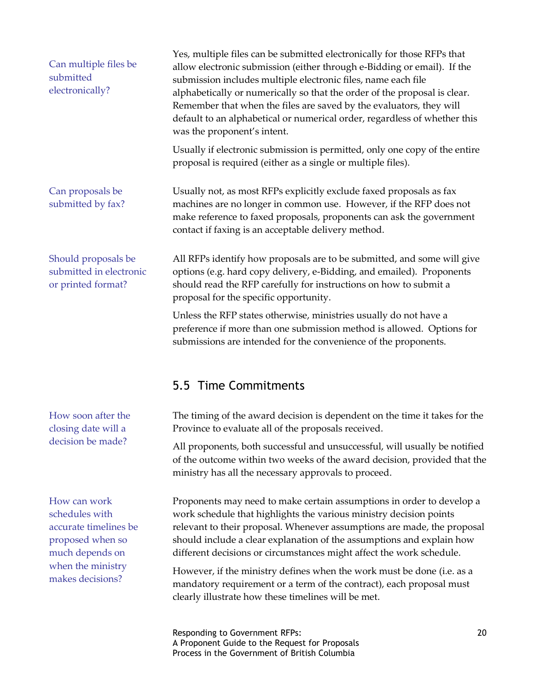<span id="page-19-0"></span>

| Can multiple files be<br>submitted<br>electronically?                                          | Yes, multiple files can be submitted electronically for those RFPs that<br>allow electronic submission (either through e-Bidding or email). If the<br>submission includes multiple electronic files, name each file<br>alphabetically or numerically so that the order of the proposal is clear.<br>Remember that when the files are saved by the evaluators, they will<br>default to an alphabetical or numerical order, regardless of whether this<br>was the proponent's intent. |
|------------------------------------------------------------------------------------------------|-------------------------------------------------------------------------------------------------------------------------------------------------------------------------------------------------------------------------------------------------------------------------------------------------------------------------------------------------------------------------------------------------------------------------------------------------------------------------------------|
|                                                                                                | Usually if electronic submission is permitted, only one copy of the entire<br>proposal is required (either as a single or multiple files).                                                                                                                                                                                                                                                                                                                                          |
| Can proposals be<br>submitted by fax?                                                          | Usually not, as most RFPs explicitly exclude faxed proposals as fax<br>machines are no longer in common use. However, if the RFP does not<br>make reference to faxed proposals, proponents can ask the government<br>contact if faxing is an acceptable delivery method.                                                                                                                                                                                                            |
| Should proposals be<br>submitted in electronic<br>or printed format?                           | All RFPs identify how proposals are to be submitted, and some will give<br>options (e.g. hard copy delivery, e-Bidding, and emailed). Proponents<br>should read the RFP carefully for instructions on how to submit a<br>proposal for the specific opportunity.                                                                                                                                                                                                                     |
|                                                                                                | Unless the RFP states otherwise, ministries usually do not have a<br>preference if more than one submission method is allowed. Options for<br>submissions are intended for the convenience of the proponents.                                                                                                                                                                                                                                                                       |
|                                                                                                | 5.5 Time Commitments                                                                                                                                                                                                                                                                                                                                                                                                                                                                |
| How soon after the<br>closing date will a                                                      | The timing of the award decision is dependent on the time it takes for the<br>Province to evaluate all of the proposals received.                                                                                                                                                                                                                                                                                                                                                   |
| decision be made?                                                                              | All proponents, both successful and unsuccessful, will usually be notified<br>of the outcome within two weeks of the award decision, provided that the<br>ministry has all the necessary approvals to proceed.                                                                                                                                                                                                                                                                      |
| How can work<br>schedules with<br>accurate timelines be<br>proposed when so<br>much depends on | Proponents may need to make certain assumptions in order to develop a<br>work schedule that highlights the various ministry decision points<br>relevant to their proposal. Whenever assumptions are made, the proposal<br>should include a clear explanation of the assumptions and explain how<br>different decisions or circumstances might affect the work schedule.                                                                                                             |
| when the ministry<br>makes decisions?                                                          | However, if the ministry defines when the work must be done (i.e. as a<br>mandatory requirement or a term of the contract), each proposal must<br>clearly illustrate how these timelines will be met.                                                                                                                                                                                                                                                                               |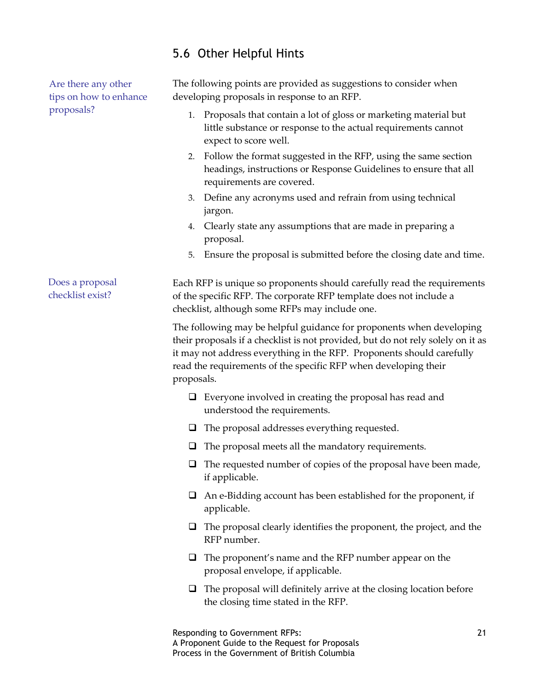### <span id="page-20-0"></span>5.6 Other Helpful Hints

Are there any other tips on how to enhance proposals?

The following points are provided as suggestions to consider when developing proposals in response to an RFP.

- 1. Proposals that contain a lot of gloss or marketing material but little substance or response to the actual requirements cannot expect to score well.
- 2. Follow the format suggested in the RFP, using the same section headings, instructions or Response Guidelines to ensure that all requirements are covered.
- 3. Define any acronyms used and refrain from using technical jargon.
- 4. Clearly state any assumptions that are made in preparing a proposal.
- 5. Ensure the proposal is submitted before the closing date and time.

Each RFP is unique so proponents should carefully read the requirements of the specific RFP. The corporate RFP template does not include a checklist, although some RFPs may include one. Does a proposal checklist exist?

> The following may be helpful guidance for proponents when developing their proposals if a checklist is not provided, but do not rely solely on it as it may not address everything in the RFP. Proponents should carefully read the requirements of the specific RFP when developing their proposals.

- $\Box$  Everyone involved in creating the proposal has read and understood the requirements.
- $\Box$  The proposal addresses everything requested.
- $\Box$  The proposal meets all the mandatory requirements.
- $\Box$  The requested number of copies of the proposal have been made, if applicable.
- $\Box$  An e-Bidding account has been established for the proponent, if applicable.
- $\Box$  The proposal clearly identifies the proponent, the project, and the RFP number.
- The proponent's name and the RFP number appear on the proposal envelope, if applicable.
- $\Box$  The proposal will definitely arrive at the closing location before the closing time stated in the RFP.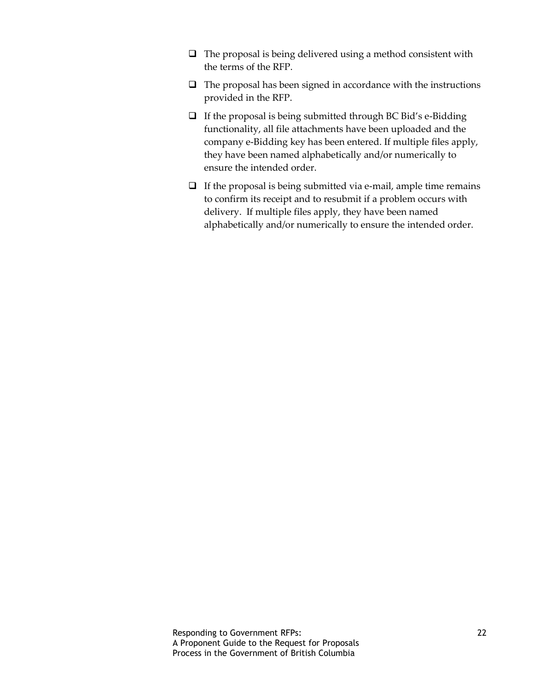- $\Box$  The proposal is being delivered using a method consistent with the terms of the RFP.
- $\Box$  The proposal has been signed in accordance with the instructions provided in the RFP.
- $\Box$  If the proposal is being submitted through BC Bid's e-Bidding functionality, all file attachments have been uploaded and the company e-Bidding key has been entered. If multiple files apply, they have been named alphabetically and/or numerically to ensure the intended order.
- $\Box$  If the proposal is being submitted via e-mail, ample time remains to confirm its receipt and to resubmit if a problem occurs with delivery. If multiple files apply, they have been named alphabetically and/or numerically to ensure the intended order.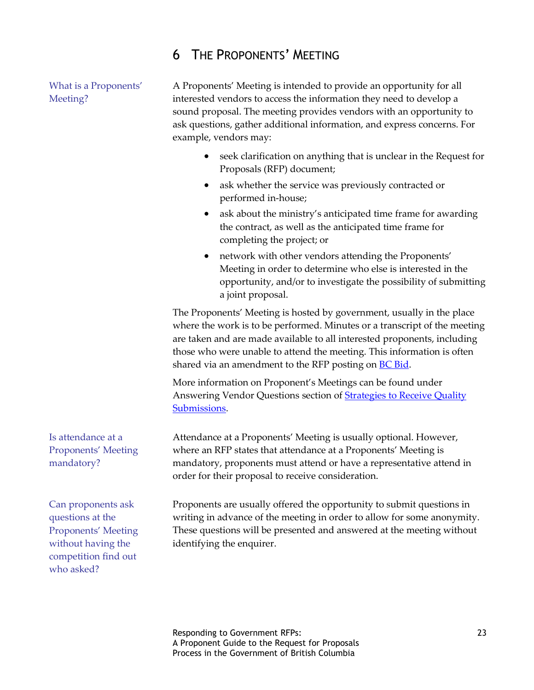## <span id="page-22-0"></span>6 THE PROPONENTS' MEETING

What is a Proponents' Meeting?

A Proponents' Meeting is intended to provide an opportunity for all interested vendors to access the information they need to develop a sound proposal. The meeting provides vendors with an opportunity to ask questions, gather additional information, and express concerns. For example, vendors may:

- seek clarification on anything that is unclear in the Request for Proposals (RFP) document;
- ask whether the service was previously contracted or performed in-house;
- ask about the ministry's anticipated time frame for awarding the contract, as well as the anticipated time frame for completing the project; or
- network with other vendors attending the Proponents' Meeting in order to determine who else is interested in the opportunity, and/or to investigate the possibility of submitting a joint proposal.

The Proponents' Meeting is hosted by government, usually in the place where the work is to be performed. Minutes or a transcript of the meeting are taken and are made available to all interested proponents, including those who were unable to attend the meeting. This information is often shared via an amendment to the RFP posting on **BC Bid**.

More information on Proponent's Meetings can be found under Answering Vendor Questions section of [Strategies to Receive Quality](http://www2.gov.bc.ca/gov/content/governments/services-for-government/bc-bid-resources/how-to-buy-services/procurement-process/pre-award/prepare-solicitation-documents/strategies-to-receive-quality-submissions#answering)  [Submissions.](http://www2.gov.bc.ca/gov/content/governments/services-for-government/bc-bid-resources/how-to-buy-services/procurement-process/pre-award/prepare-solicitation-documents/strategies-to-receive-quality-submissions#answering)

Attendance at a Proponents' Meeting is usually optional. However, where an RFP states that attendance at a Proponents' Meeting is mandatory, proponents must attend or have a representative attend in order for their proposal to receive consideration.

Can proponents ask questions at the Proponents' Meeting without having the competition find out who asked?

Is attendance at a Proponents' Meeting

mandatory?

Proponents are usually offered the opportunity to submit questions in writing in advance of the meeting in order to allow for some anonymity. These questions will be presented and answered at the meeting without identifying the enquirer.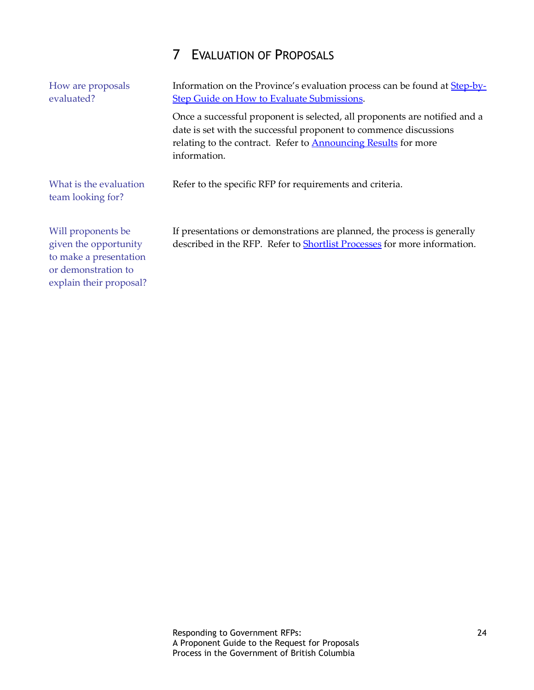# <span id="page-23-0"></span>7 EVALUATION OF PROPOSALS

| How are proposals<br>evaluated?                                                                                         | Information on the Province's evaluation process can be found at <b>Step-by-</b><br><b>Step Guide on How to Evaluate Submissions.</b>                                                                                                    |  |  |
|-------------------------------------------------------------------------------------------------------------------------|------------------------------------------------------------------------------------------------------------------------------------------------------------------------------------------------------------------------------------------|--|--|
|                                                                                                                         | Once a successful proponent is selected, all proponents are notified and a<br>date is set with the successful proponent to commence discussions<br>relating to the contract. Refer to <b>Announcing Results</b> for more<br>information. |  |  |
| What is the evaluation<br>team looking for?                                                                             | Refer to the specific RFP for requirements and criteria.                                                                                                                                                                                 |  |  |
| Will proponents be<br>given the opportunity<br>to make a presentation<br>or demonstration to<br>explain their proposal? | If presentations or demonstrations are planned, the process is generally<br>described in the RFP. Refer to <b>Shortlist Processes</b> for more information.                                                                              |  |  |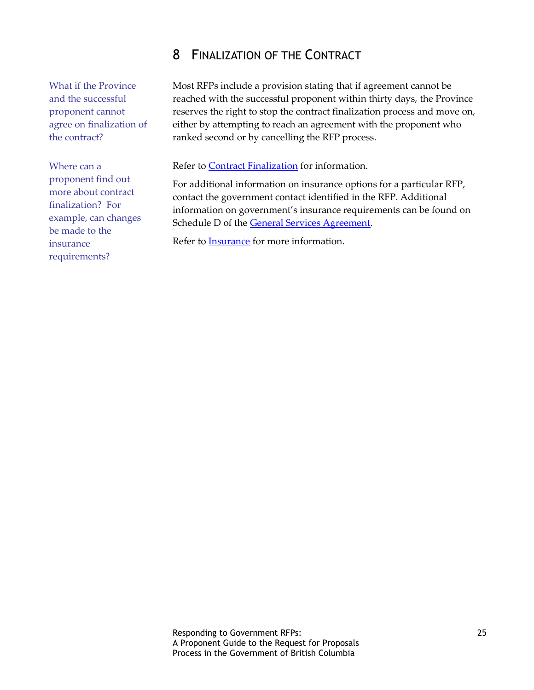# <span id="page-24-0"></span>8 FINALIZATION OF THE CONTRACT

What if the Province and the successful proponent cannot agree on finalization of the contract?

Where can a proponent find out more about contract finalization? For example, can changes be made to the insurance requirements?

Most RFPs include a provision stating that if agreement cannot be reached with the successful proponent within thirty days, the Province reserves the right to stop the contract finalization process and move on, either by attempting to reach an agreement with the proponent who ranked second or by cancelling the RFP process.

Refer to **Contract Finalization** for information.

For additional information on insurance options for a particular RFP, contact the government contact identified in the RFP. Additional information on government's insurance requirements can be found on Schedule D of the [General Services Agreement.](http://www2.gov.bc.ca/gov/content/governments/services-for-government/bc-bid-resources/templates-and-tools/service-contract-templates#gsa)

Refer to [Insurance](http://www2.gov.bc.ca/gov/content/governments/services-for-government/bc-bid-resources/support-services/risk-management/insurance) for more information.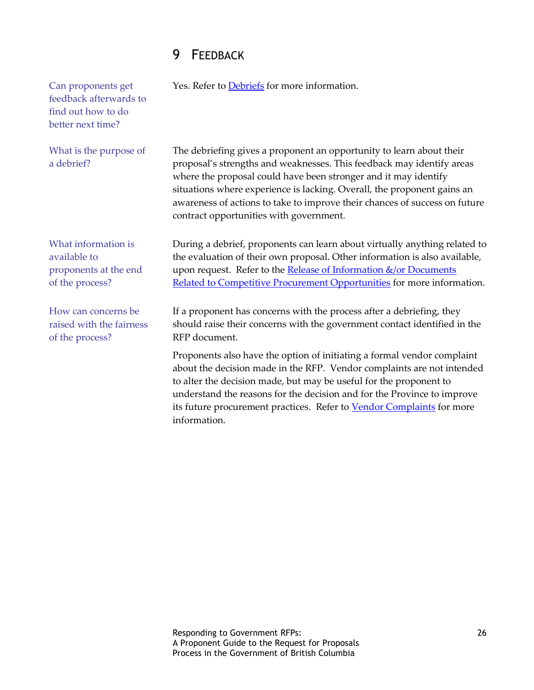# <span id="page-25-0"></span>9 FEEDBACK

| Can proponents get<br>feedback afterwards to<br>find out how to do<br>better next time? | Yes. Refer to <b>Debriefs</b> for more information.                                                                                                                                                                                                                                                                                                                                                                  |
|-----------------------------------------------------------------------------------------|----------------------------------------------------------------------------------------------------------------------------------------------------------------------------------------------------------------------------------------------------------------------------------------------------------------------------------------------------------------------------------------------------------------------|
| What is the purpose of<br>a debrief?                                                    | The debriefing gives a proponent an opportunity to learn about their<br>proposal's strengths and weaknesses. This feedback may identify areas<br>where the proposal could have been stronger and it may identify<br>situations where experience is lacking. Overall, the proponent gains an<br>awareness of actions to take to improve their chances of success on future<br>contract opportunities with government. |
| What information is<br>available to<br>proponents at the end<br>of the process?         | During a debrief, proponents can learn about virtually anything related to<br>the evaluation of their own proposal. Other information is also available,<br>upon request. Refer to the Release of Information &/or Documents<br>Related to Competitive Procurement Opportunities for more information.                                                                                                               |
| How can concerns be<br>raised with the fairness<br>of the process?                      | If a proponent has concerns with the process after a debriefing, they<br>should raise their concerns with the government contact identified in the<br>RFP document.                                                                                                                                                                                                                                                  |
|                                                                                         | Proponents also have the option of initiating a formal vendor complaint<br>about the decision made in the RFP. Vendor complaints are not intended<br>to alter the decision made, but may be useful for the proponent to<br>understand the reasons for the decision and for the Province to improve<br>its future procurement practices. Refer to Vendor Complaints for more<br>information.                          |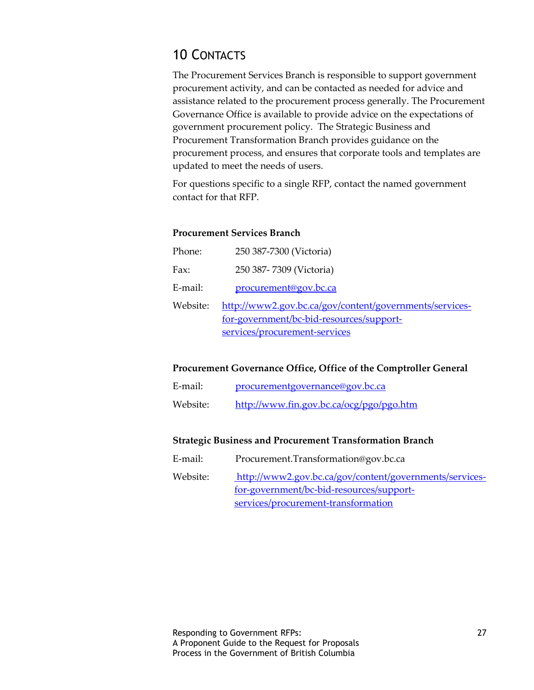# <span id="page-26-0"></span>10 CONTACTS

The Procurement Services Branch is responsible to support government procurement activity, and can be contacted as needed for advice and assistance related to the procurement process generally. The Procurement Governance Office is available to provide advice on the expectations of government procurement policy. The Strategic Business and Procurement Transformation Branch provides guidance on the procurement process, and ensures that corporate tools and templates are updated to meet the needs of users.

For questions specific to a single RFP, contact the named government contact for that RFP.

#### **Procurement Services Branch**

| Phone:   | 250 387-7300 (Victoria)                                                                                                              |
|----------|--------------------------------------------------------------------------------------------------------------------------------------|
| Fax:     | 250 387-7309 (Victoria)                                                                                                              |
| E-mail:  | procurement@gov.bc.ca                                                                                                                |
| Website: | http://www2.gov.bc.ca/gov/content/governments/services-<br>for-government/bc-bid-resources/support-<br>services/procurement-services |

### **Procurement Governance Office, Office of the Comptroller General**

| E-mail:  | procurementgovernance@gov.bc.ca          |
|----------|------------------------------------------|
| Website: | http://www.fin.gov.bc.ca/ocg/pgo/pgo.htm |

#### **Strategic Business and Procurement Transformation Branch**

E-mail: Procurement.Transformation@gov.bc.ca

Website: [http://www2.gov.bc.ca/gov/content/governments/services](http://www2.gov.bc.ca/gov/content/governments/services-for-government/bc-bid-resources/support-services/procurement-transformation)[for-government/bc-bid-resources/support](http://www2.gov.bc.ca/gov/content/governments/services-for-government/bc-bid-resources/support-services/procurement-transformation)[services/procurement-transformation](http://www2.gov.bc.ca/gov/content/governments/services-for-government/bc-bid-resources/support-services/procurement-transformation)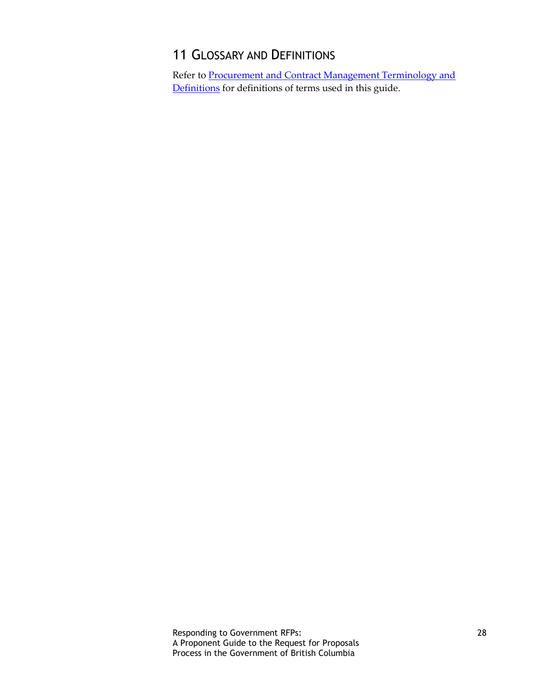# <span id="page-27-0"></span>11 GLOSSARY AND DEFINITIONS

Refer to [Procurement and Contract Management Terminology and](http://www2.gov.bc.ca/gov/content/governments/services-for-government/bc-bid-resources/reference-resources/procurement-definitions)  [Definitions](http://www2.gov.bc.ca/gov/content/governments/services-for-government/bc-bid-resources/reference-resources/procurement-definitions) for definitions of terms used in this guide.